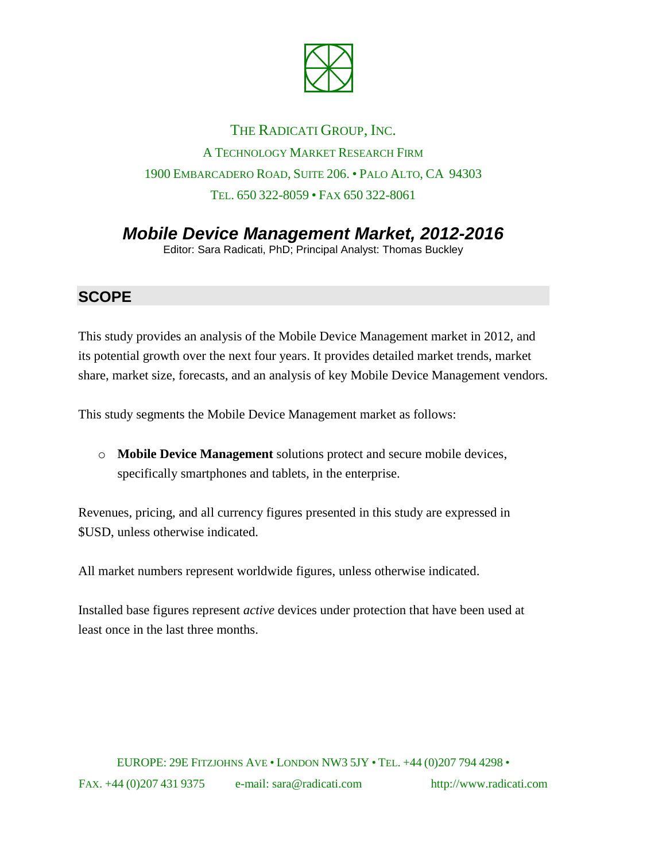

## THE RADICATI GROUP, INC. A TECHNOLOGY MARKET RESEARCH FIRM 1900 EMBARCADERO ROAD, SUITE 206. • PALO ALTO, CA 94303 TEL. 650 322-8059 • FAX 650 322-8061

*Mobile Device Management Market, 2012-2016*

Editor: Sara Radicati, PhD; Principal Analyst: Thomas Buckley

## **SCOPE**

This study provides an analysis of the Mobile Device Management market in 2012, and its potential growth over the next four years. It provides detailed market trends, market share, market size, forecasts, and an analysis of key Mobile Device Management vendors.

This study segments the Mobile Device Management market as follows:

o **Mobile Device Management** solutions protect and secure mobile devices, specifically smartphones and tablets, in the enterprise.

Revenues, pricing, and all currency figures presented in this study are expressed in \$USD, unless otherwise indicated.

All market numbers represent worldwide figures, unless otherwise indicated.

Installed base figures represent *active* devices under protection that have been used at least once in the last three months.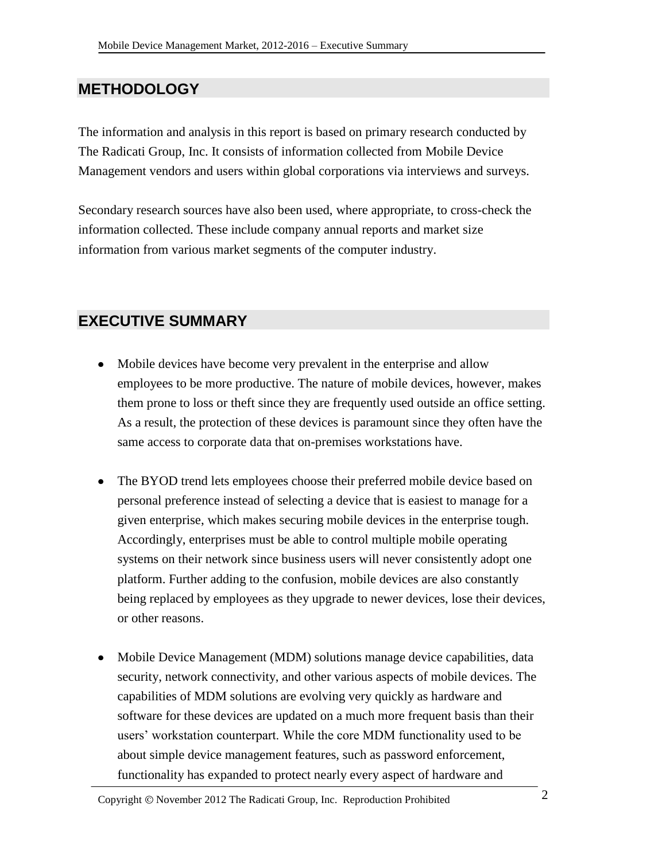## **METHODOLOGY**

The information and analysis in this report is based on primary research conducted by The Radicati Group, Inc. It consists of information collected from Mobile Device Management vendors and users within global corporations via interviews and surveys.

Secondary research sources have also been used, where appropriate, to cross-check the information collected. These include company annual reports and market size information from various market segments of the computer industry.

## **EXECUTIVE SUMMARY**

- Mobile devices have become very prevalent in the enterprise and allow employees to be more productive. The nature of mobile devices, however, makes them prone to loss or theft since they are frequently used outside an office setting. As a result, the protection of these devices is paramount since they often have the same access to corporate data that on-premises workstations have.
- The BYOD trend lets employees choose their preferred mobile device based on personal preference instead of selecting a device that is easiest to manage for a given enterprise, which makes securing mobile devices in the enterprise tough. Accordingly, enterprises must be able to control multiple mobile operating systems on their network since business users will never consistently adopt one platform. Further adding to the confusion, mobile devices are also constantly being replaced by employees as they upgrade to newer devices, lose their devices, or other reasons.
- Mobile Device Management (MDM) solutions manage device capabilities, data security, network connectivity, and other various aspects of mobile devices. The capabilities of MDM solutions are evolving very quickly as hardware and software for these devices are updated on a much more frequent basis than their users' workstation counterpart. While the core MDM functionality used to be about simple device management features, such as password enforcement, functionality has expanded to protect nearly every aspect of hardware and

Copyright  $\odot$  November 2012 The Radicati Group, Inc. Reproduction Prohibited 2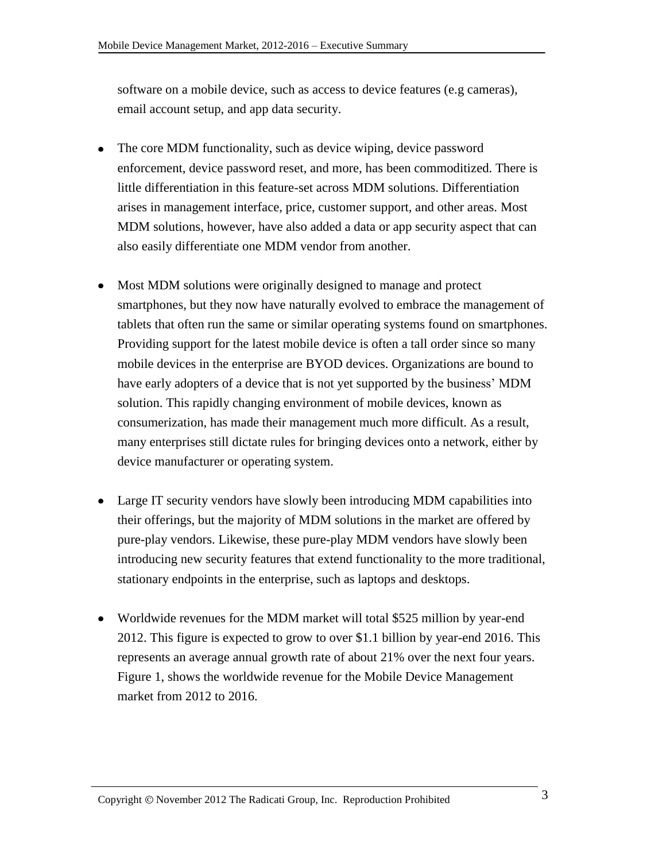software on a mobile device, such as access to device features (e.g cameras), email account setup, and app data security.

- The core MDM functionality, such as device wiping, device password enforcement, device password reset, and more, has been commoditized. There is little differentiation in this feature-set across MDM solutions. Differentiation arises in management interface, price, customer support, and other areas. Most MDM solutions, however, have also added a data or app security aspect that can also easily differentiate one MDM vendor from another.
- Most MDM solutions were originally designed to manage and protect smartphones, but they now have naturally evolved to embrace the management of tablets that often run the same or similar operating systems found on smartphones. Providing support for the latest mobile device is often a tall order since so many mobile devices in the enterprise are BYOD devices. Organizations are bound to have early adopters of a device that is not yet supported by the business' MDM solution. This rapidly changing environment of mobile devices, known as consumerization, has made their management much more difficult. As a result, many enterprises still dictate rules for bringing devices onto a network, either by device manufacturer or operating system.
- Large IT security vendors have slowly been introducing MDM capabilities into their offerings, but the majority of MDM solutions in the market are offered by pure-play vendors. Likewise, these pure-play MDM vendors have slowly been introducing new security features that extend functionality to the more traditional, stationary endpoints in the enterprise, such as laptops and desktops.
- Worldwide revenues for the MDM market will total \$525 million by year-end 2012. This figure is expected to grow to over \$1.1 billion by year-end 2016. This represents an average annual growth rate of about 21% over the next four years. Figure 1, shows the worldwide revenue for the Mobile Device Management market from 2012 to 2016.